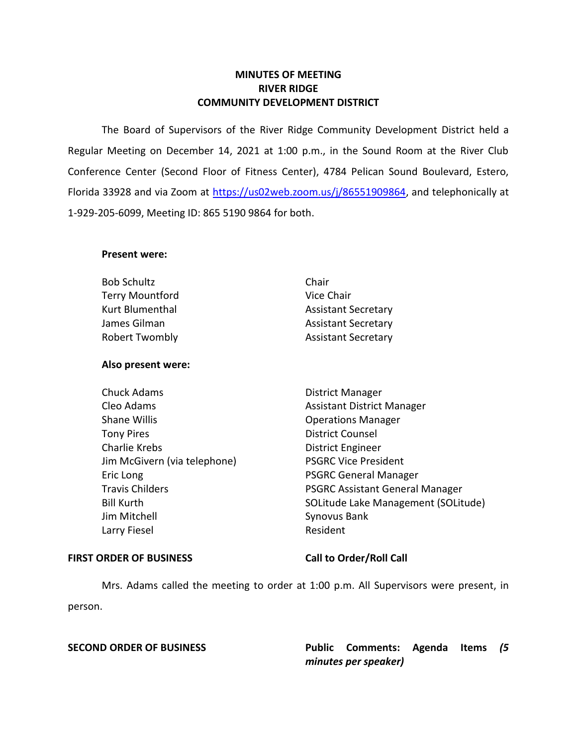# **MINUTES OF MEETING RIVER RIDGE COMMUNITY DEVELOPMENT DISTRICT**

 The Board of Supervisors of the River Ridge Community Development District held a Regular Meeting on December 14, 2021 at 1:00 p.m., in the Sound Room at the River Club Conference Center (Second Floor of Fitness Center), 4784 Pelican Sound Boulevard, Estero, Florida 33928 and via Zoom at [https://us02web.zoom.us/j/86551909864,](https://us02web.zoom.us/j/86551909864) and telephonically at 1-929-205-6099, Meeting ID: 865 5190 9864 for both.

## **Present were:**

| <b>Bob Schultz</b>     | Chair                      |
|------------------------|----------------------------|
| <b>Terry Mountford</b> | Vice Chair                 |
| Kurt Blumenthal        | <b>Assistant Secretary</b> |
| James Gilman           | <b>Assistant Secretary</b> |
| <b>Robert Twombly</b>  | <b>Assistant Secretary</b> |

### **Also present were:**

Chuck Adams **District Manager** Cleo Adams **Assistant District Manager** Assistant District Manager Shane Willis **Shane Willis Conserversity Operations Manager** Tony Pires **District Counsel** Charlie Krebs **District Engineer** Jim McGivern (via telephone) PSGRC Vice President Eric Long **PSGRC** General Manager Jim Mitchell Synovus Bank Larry Fiesel **Resident** Resident

Travis Childers **PSGRC Assistant General Manager** Bill Kurth SOLitude Lake Management (SOLitude)

### FIRST ORDER OF BUSINESS Call to Order/Roll Call

 Mrs. Adams called the meeting to order at 1:00 p.m. All Supervisors were present, in person.

 **SECOND ORDER OF BUSINESS Public Comments: Agenda Items** *(5 minutes per speaker)*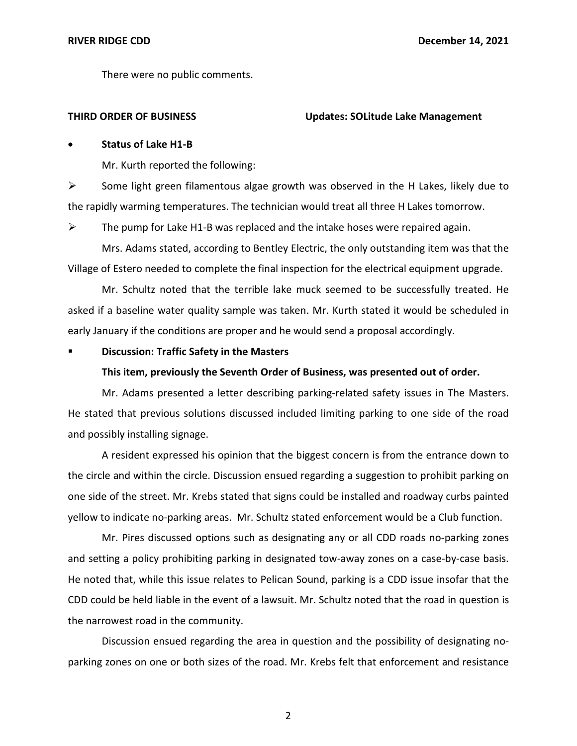There were no public comments.

### **THIRD ORDER OF BUSINESS Updates: SOLitude Lake Management**

# • **Status of Lake H1-B**

Mr. Kurth reported the following:

➢ Some light green filamentous algae growth was observed in the H Lakes, likely due to the rapidly warming temperatures. The technician would treat all three H Lakes tomorrow.

 $\triangleright$  The pump for Lake H1-B was replaced and the intake hoses were repaired again.

Mrs. Adams stated, according to Bentley Electric, the only outstanding item was that the Village of Estero needed to complete the final inspection for the electrical equipment upgrade.

Mr. Schultz noted that the terrible lake muck seemed to be successfully treated. He asked if a baseline water quality sample was taken. Mr. Kurth stated it would be scheduled in early January if the conditions are proper and he would send a proposal accordingly.

# ▪ **Discussion: Traffic Safety in the Masters**

### **This item, previously the Seventh Order of Business, was presented out of order.**

Mr. Adams presented a letter describing parking-related safety issues in The Masters. He stated that previous solutions discussed included limiting parking to one side of the road and possibly installing signage.

A resident expressed his opinion that the biggest concern is from the entrance down to the circle and within the circle. Discussion ensued regarding a suggestion to prohibit parking on one side of the street. Mr. Krebs stated that signs could be installed and roadway curbs painted yellow to indicate no-parking areas. Mr. Schultz stated enforcement would be a Club function.

Mr. Pires discussed options such as designating any or all CDD roads no-parking zones and setting a policy prohibiting parking in designated tow-away zones on a case-by-case basis. He noted that, while this issue relates to Pelican Sound, parking is a CDD issue insofar that the CDD could be held liable in the event of a lawsuit. Mr. Schultz noted that the road in question is the narrowest road in the community.

Discussion ensued regarding the area in question and the possibility of designating noparking zones on one or both sizes of the road. Mr. Krebs felt that enforcement and resistance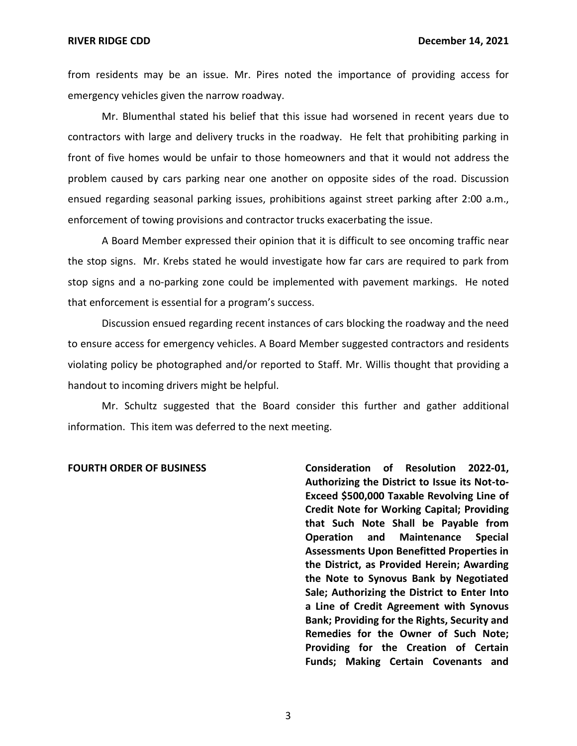from residents may be an issue. Mr. Pires noted the importance of providing access for emergency vehicles given the narrow roadway.

Mr. Blumenthal stated his belief that this issue had worsened in recent years due to contractors with large and delivery trucks in the roadway. He felt that prohibiting parking in front of five homes would be unfair to those homeowners and that it would not address the problem caused by cars parking near one another on opposite sides of the road. Discussion ensued regarding seasonal parking issues, prohibitions against street parking after 2:00 a.m., enforcement of towing provisions and contractor trucks exacerbating the issue.

A Board Member expressed their opinion that it is difficult to see oncoming traffic near the stop signs. Mr. Krebs stated he would investigate how far cars are required to park from stop signs and a no-parking zone could be implemented with pavement markings. He noted that enforcement is essential for a program's success.

Discussion ensued regarding recent instances of cars blocking the roadway and the need to ensure access for emergency vehicles. A Board Member suggested contractors and residents violating policy be photographed and/or reported to Staff. Mr. Willis thought that providing a handout to incoming drivers might be helpful.

Mr. Schultz suggested that the Board consider this further and gather additional information. This item was deferred to the next meeting.

FOURTH ORDER OF BUSINESS **Consideration of Resolution 2022-01**,  **Authorizing the District to Issue its Not-to- Exceed \$500,000 Taxable Revolving Line of Credit Note for Working Capital; Providing that Such Note Shall be Payable from Operation Assessments Upon Benefitted Properties in the District, as Provided Herein; Awarding Sale; Authorizing the District to Enter Into a Line of Credit Agreement with Synovus Bank; Providing for the Rights, Security and Remedies for the Owner of Such Note; Providing for the Creation of Certain Funds; Making Certain Covenants and**  and Maintenance Special **the Note to Synovus Bank by Negotiated**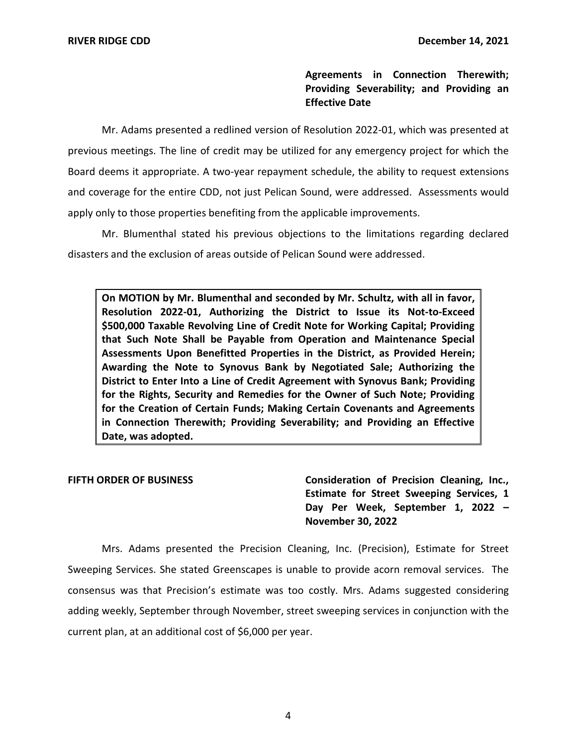**Agreements in Connection Therewith; Providing Severability; and Providing an Effective Date** 

Mr. Adams presented a redlined version of Resolution 2022-01, which was presented at previous meetings. The line of credit may be utilized for any emergency project for which the Board deems it appropriate. A two-year repayment schedule, the ability to request extensions and coverage for the entire CDD, not just Pelican Sound, were addressed. Assessments would apply only to those properties benefiting from the applicable improvements.

Mr. Blumenthal stated his previous objections to the limitations regarding declared disasters and the exclusion of areas outside of Pelican Sound were addressed.

 **On MOTION by Mr. Blumenthal and seconded by Mr. Schultz, with all in favor, Resolution 2022-01, Authorizing the District to Issue its Not-to-Exceed \$500,000 Taxable Revolving Line of Credit Note for Working Capital; Providing that Such Note Shall be Payable from Operation and Maintenance Special Assessments Upon Benefitted Properties in the District, as Provided Herein; Awarding the Note to Synovus Bank by Negotiated Sale; Authorizing the District to Enter Into a Line of Credit Agreement with Synovus Bank; Providing for the Rights, Security and Remedies for the Owner of Such Note; Providing for the Creation of Certain Funds; Making Certain Covenants and Agreements in Connection Therewith; Providing Severability; and Providing an Effective Date, was adopted.** 

FIFTH ORDER OF BUSINESS **Consideration of Precision Cleaning, Inc., Estimate for Street Sweeping Services, 1 Day Per Week, September 1, 2022 – November 30, 2022** 

 Mrs. Adams presented the Precision Cleaning, Inc. (Precision), Estimate for Street Sweeping Services. She stated Greenscapes is unable to provide acorn removal services. The consensus was that Precision's estimate was too costly. Mrs. Adams suggested considering adding weekly, September through November, street sweeping services in conjunction with the current plan, at an additional cost of \$6,000 per year.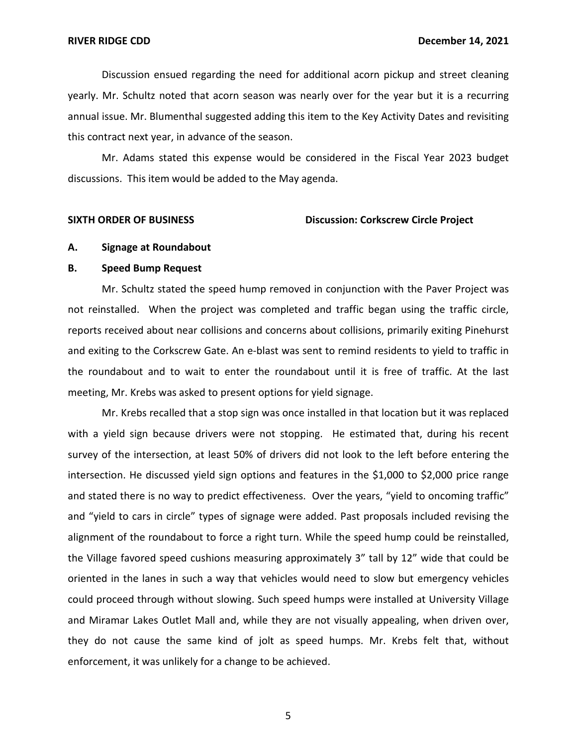Discussion ensued regarding the need for additional acorn pickup and street cleaning yearly. Mr. Schultz noted that acorn season was nearly over for the year but it is a recurring annual issue. Mr. Blumenthal suggested adding this item to the Key Activity Dates and revisiting this contract next year, in advance of the season.

Mr. Adams stated this expense would be considered in the Fiscal Year 2023 budget discussions. This item would be added to the May agenda.

### **SIXTH ORDER OF BUSINESS Discussion: Corkscrew Circle Project**

### **A. Signage at Roundabout**

### **B. Speed Bump Request**

Mr. Schultz stated the speed hump removed in conjunction with the Paver Project was not reinstalled. When the project was completed and traffic began using the traffic circle, reports received about near collisions and concerns about collisions, primarily exiting Pinehurst and exiting to the Corkscrew Gate. An e-blast was sent to remind residents to yield to traffic in the roundabout and to wait to enter the roundabout until it is free of traffic. At the last meeting, Mr. Krebs was asked to present options for yield signage.

Mr. Krebs recalled that a stop sign was once installed in that location but it was replaced with a yield sign because drivers were not stopping. He estimated that, during his recent survey of the intersection, at least 50% of drivers did not look to the left before entering the intersection. He discussed yield sign options and features in the \$1,000 to \$2,000 price range and stated there is no way to predict effectiveness. Over the years, "yield to oncoming traffic" and "yield to cars in circle" types of signage were added. Past proposals included revising the alignment of the roundabout to force a right turn. While the speed hump could be reinstalled, the Village favored speed cushions measuring approximately 3" tall by 12" wide that could be oriented in the lanes in such a way that vehicles would need to slow but emergency vehicles could proceed through without slowing. Such speed humps were installed at University Village and Miramar Lakes Outlet Mall and, while they are not visually appealing, when driven over, they do not cause the same kind of jolt as speed humps. Mr. Krebs felt that, without enforcement, it was unlikely for a change to be achieved.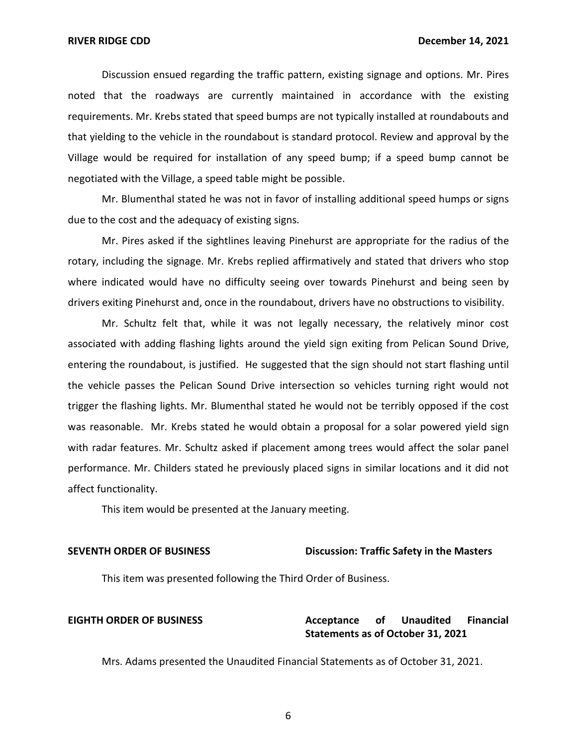Discussion ensued regarding the traffic pattern, existing signage and options. Mr. Pires noted that the roadways are currently maintained in accordance with the existing requirements. Mr. Krebs stated that speed bumps are not typically installed at roundabouts and that yielding to the vehicle in the roundabout is standard protocol. Review and approval by the Village would be required for installation of any speed bump; if a speed bump cannot be negotiated with the Village, a speed table might be possible.

Mr. Blumenthal stated he was not in favor of installing additional speed humps or signs due to the cost and the adequacy of existing signs.

Mr. Pires asked if the sightlines leaving Pinehurst are appropriate for the radius of the rotary, including the signage. Mr. Krebs replied affirmatively and stated that drivers who stop where indicated would have no difficulty seeing over towards Pinehurst and being seen by drivers exiting Pinehurst and, once in the roundabout, drivers have no obstructions to visibility.

Mr. Schultz felt that, while it was not legally necessary, the relatively minor cost associated with adding flashing lights around the yield sign exiting from Pelican Sound Drive, entering the roundabout, is justified. He suggested that the sign should not start flashing until the vehicle passes the Pelican Sound Drive intersection so vehicles turning right would not trigger the flashing lights. Mr. Blumenthal stated he would not be terribly opposed if the cost was reasonable. Mr. Krebs stated he would obtain a proposal for a solar powered yield sign with radar features. Mr. Schultz asked if placement among trees would affect the solar panel performance. Mr. Childers stated he previously placed signs in similar locations and it did not affect functionality.

This item would be presented at the January meeting.

### **SEVENTH ORDER OF BUSINESS** Discussion: Traffic Safety in the Masters

This item was presented following the Third Order of Business.

### Acceptance  **Statements as of October 31, 2021 EIGHTH ORDER OF BUSINESS Acceptance of Unaudited Financial**

Mrs. Adams presented the Unaudited Financial Statements as of October 31, 2021.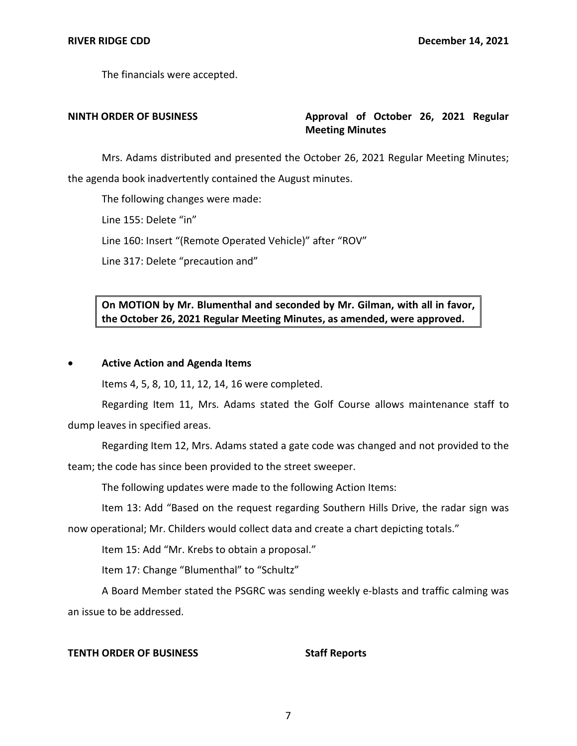The financials were accepted.

# **NINTH ORDER OF BUSINESS Approval of October 26, 2021 Regular Meeting Minutes**

Mrs. Adams distributed and presented the October 26, 2021 Regular Meeting Minutes; the agenda book inadvertently contained the August minutes.

The following changes were made:

Line 155: Delete "in"

Line 160: Insert "(Remote Operated Vehicle)" after "ROV"

Line 317: Delete "precaution and"

 **On MOTION by Mr. Blumenthal and seconded by Mr. Gilman, with all in favor, the October 26, 2021 Regular Meeting Minutes, as amended, were approved.** 

## • **Active Action and Agenda Items**

Items 4, 5, 8, 10, 11, 12, 14, 16 were completed.

Regarding Item 11, Mrs. Adams stated the Golf Course allows maintenance staff to dump leaves in specified areas.

Regarding Item 12, Mrs. Adams stated a gate code was changed and not provided to the

team; the code has since been provided to the street sweeper.

The following updates were made to the following Action Items:

Item 13: Add "Based on the request regarding Southern Hills Drive, the radar sign was

now operational; Mr. Childers would collect data and create a chart depicting totals."

Item 15: Add "Mr. Krebs to obtain a proposal."

Item 17: Change "Blumenthal" to "Schultz"

A Board Member stated the PSGRC was sending weekly e-blasts and traffic calming was an issue to be addressed.

## **TENTH ORDER OF BUSINESS** Staff Reports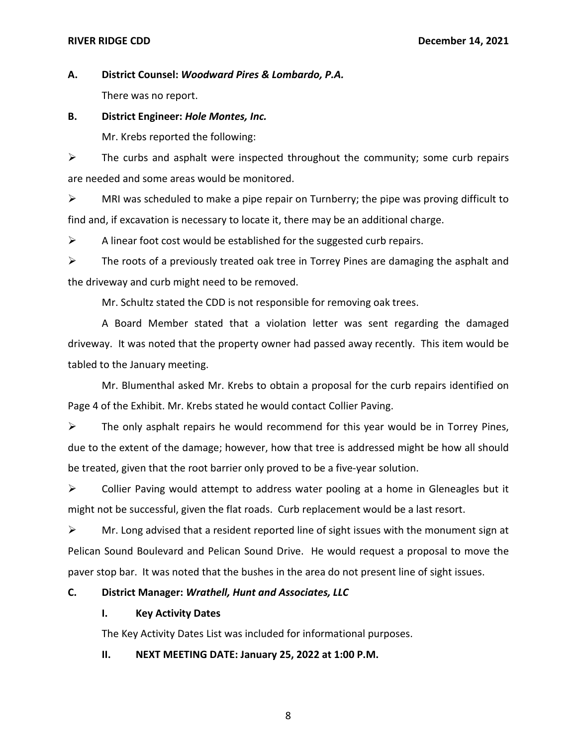**A. District Counsel:** *Woodward Pires & Lombardo, P.A.*  There was no report.

**B. District Engineer:** *Hole Montes, Inc.* 

Mr. Krebs reported the following:

 $\triangleright$  The curbs and asphalt were inspected throughout the community; some curb repairs are needed and some areas would be monitored.

 $\triangleright$  MRI was scheduled to make a pipe repair on Turnberry; the pipe was proving difficult to find and, if excavation is necessary to locate it, there may be an additional charge.

 $\triangleright$  A linear foot cost would be established for the suggested curb repairs.

 $\triangleright$  The roots of a previously treated oak tree in Torrey Pines are damaging the asphalt and the driveway and curb might need to be removed.

Mr. Schultz stated the CDD is not responsible for removing oak trees.

A Board Member stated that a violation letter was sent regarding the damaged driveway. It was noted that the property owner had passed away recently. This item would be tabled to the January meeting.

Mr. Blumenthal asked Mr. Krebs to obtain a proposal for the curb repairs identified on Page 4 of the Exhibit. Mr. Krebs stated he would contact Collier Paving.

 $\triangleright$  The only asphalt repairs he would recommend for this year would be in Torrey Pines, due to the extent of the damage; however, how that tree is addressed might be how all should be treated, given that the root barrier only proved to be a five-year solution.

➢ Collier Paving would attempt to address water pooling at a home in Gleneagles but it might not be successful, given the flat roads. Curb replacement would be a last resort.

 $\triangleright$  Mr. Long advised that a resident reported line of sight issues with the monument sign at Pelican Sound Boulevard and Pelican Sound Drive. He would request a proposal to move the paver stop bar. It was noted that the bushes in the area do not present line of sight issues.

### **C. District Manager:** *Wrathell, Hunt and Associates, LLC*

# **I. Key Activity Dates**

The Key Activity Dates List was included for informational purposes.

### **II. NEXT MEETING DATE: January 25, 2022 at 1:00 P.M.**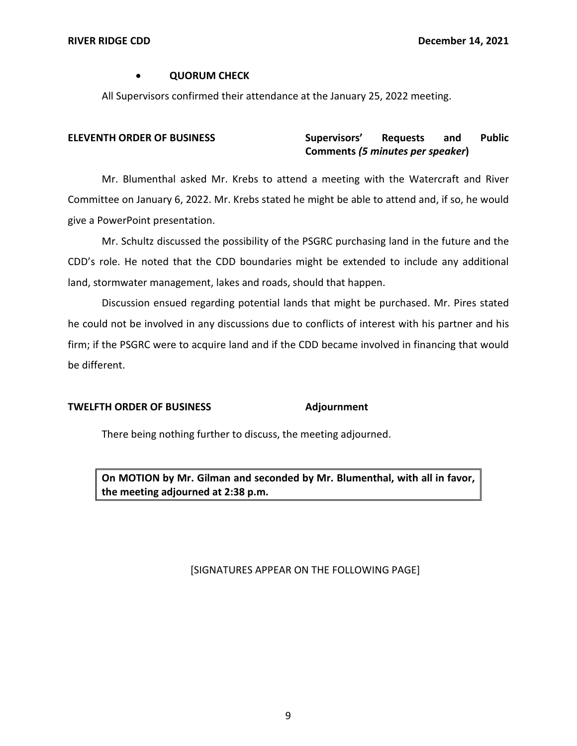## • **QUORUM CHECK**

All Supervisors confirmed their attendance at the January 25, 2022 meeting.

### and **ELEVENTH ORDER OF BUSINESS Supervisors' Requests and Public Comments** *(5 minutes per speaker***)**

Mr. Blumenthal asked Mr. Krebs to attend a meeting with the Watercraft and River Committee on January 6, 2022. Mr. Krebs stated he might be able to attend and, if so, he would give a PowerPoint presentation.

Mr. Schultz discussed the possibility of the PSGRC purchasing land in the future and the CDD's role. He noted that the CDD boundaries might be extended to include any additional land, stormwater management, lakes and roads, should that happen.

Discussion ensued regarding potential lands that might be purchased. Mr. Pires stated he could not be involved in any discussions due to conflicts of interest with his partner and his firm; if the PSGRC were to acquire land and if the CDD became involved in financing that would be different.

# **TWELFTH ORDER OF BUSINESS Adjournment**

There being nothing further to discuss, the meeting adjourned.

 **On MOTION by Mr. Gilman and seconded by Mr. Blumenthal, with all in favor, the meeting adjourned at 2:38 p.m.** 

# [SIGNATURES APPEAR ON THE FOLLOWING PAGE]